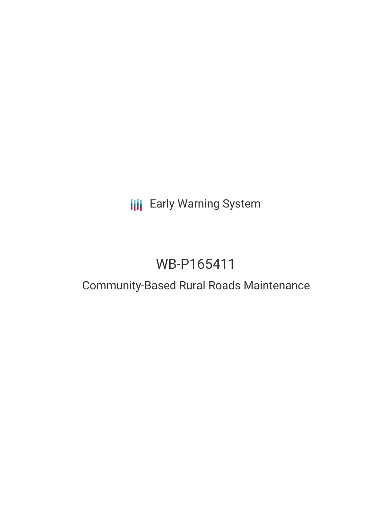## **III** Early Warning System

# WB-P165411

## Community-Based Rural Roads Maintenance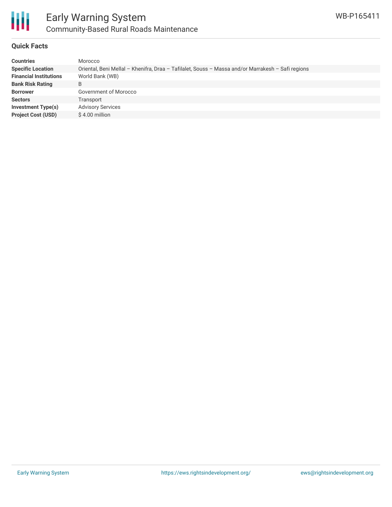

## **Quick Facts**

| <b>Countries</b>              | Morocco                                                                                           |
|-------------------------------|---------------------------------------------------------------------------------------------------|
| <b>Specific Location</b>      | Oriental, Beni Mellal - Khenifra, Draa - Tafilalet, Souss - Massa and/or Marrakesh - Safi regions |
| <b>Financial Institutions</b> | World Bank (WB)                                                                                   |
| <b>Bank Risk Rating</b>       | B                                                                                                 |
| <b>Borrower</b>               | Government of Morocco                                                                             |
| <b>Sectors</b>                | Transport                                                                                         |
| <b>Investment Type(s)</b>     | <b>Advisory Services</b>                                                                          |
| <b>Project Cost (USD)</b>     | \$4.00 million                                                                                    |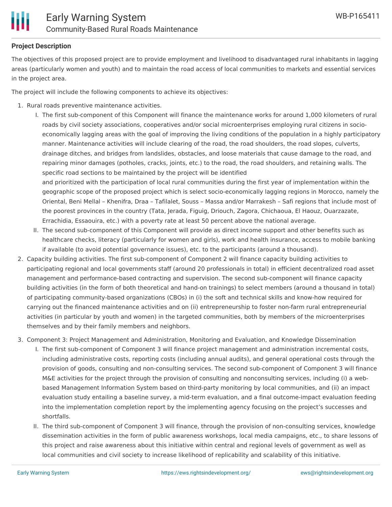

### **Project Description**

The objectives of this proposed project are to provide employment and livelihood to disadvantaged rural inhabitants in lagging areas (particularly women and youth) and to maintain the road access of local communities to markets and essential services in the project area.

The project will include the following components to achieve its objectives:

- 1. Rural roads preventive maintenance activities.
	- I. The first sub-component of this Component will finance the maintenance works for around 1,000 kilometers of rural roads by civil society associations, cooperatives and/or social microenterprises employing rural citizens in socioeconomically lagging areas with the goal of improving the living conditions of the population in a highly participatory manner. Maintenance activities will include clearing of the road, the road shoulders, the road slopes, culverts, drainage ditches, and bridges from landslides, obstacles, and loose materials that cause damage to the road, and repairing minor damages (potholes, cracks, joints, etc.) to the road, the road shoulders, and retaining walls. The specific road sections to be maintained by the project will be identified and prioritized with the participation of local rural communities during the first year of implementation within the geographic scope of the proposed project which is select socio-economically lagging regions in Morocco, namely the Oriental, Beni Mellal – Khenifra, Draa – Tafilalet, Souss – Massa and/or Marrakesh – Safi regions that include most of the poorest provinces in the country (Tata, Jerada, Figuig, Driouch, Zagora, Chichaoua, El Haouz, Ouarzazate, Errachidia, Essaouira, etc.) with a poverty rate at least 50 percent above the national average.
	- II. The second sub-component of this Component will provide as direct income support and other benefits such as healthcare checks, literacy (particularly for women and girls), work and health insurance, access to mobile banking if available (to avoid potential governance issues), etc. to the participants (around a thousand).
- 2. Capacity building activities. The first sub-component of Component 2 will finance capacity building activities to participating regional and local governments staff (around 20 professionals in total) in efficient decentralized road asset management and performance-based contracting and supervision. The second sub-component will finance capacity building activities (in the form of both theoretical and hand-on trainings) to select members (around a thousand in total) of participating community-based organizations (CBOs) in (i) the soft and technical skills and know-how required for carrying out the financed maintenance activities and on (ii) entrepreneurship to foster non-farm rural entrepreneurial activities (in particular by youth and women) in the targeted communities, both by members of the microenterprises themselves and by their family members and neighbors.
- 3. Component 3: Project Management and Administration, Monitoring and Evaluation, and Knowledge Dissemination
	- I. The first sub-component of Component 3 will finance project management and administration incremental costs, including administrative costs, reporting costs (including annual audits), and general operational costs through the provision of goods, consulting and non-consulting services. The second sub-component of Component 3 will finance M&E activities for the project through the provision of consulting and nonconsulting services, including (i) a webbased Management Information System based on third-party monitoring by local communities, and (ii) an impact evaluation study entailing a baseline survey, a mid-term evaluation, and a final outcome-impact evaluation feeding into the implementation completion report by the implementing agency focusing on the project's successes and shortfalls.
	- II. The third sub-component of Component 3 will finance, through the provision of non-consulting services, knowledge dissemination activities in the form of public awareness workshops, local media campaigns, etc., to share lessons of this project and raise awareness about this initiative within central and regional levels of government as well as local communities and civil society to increase likelihood of replicability and scalability of this initiative.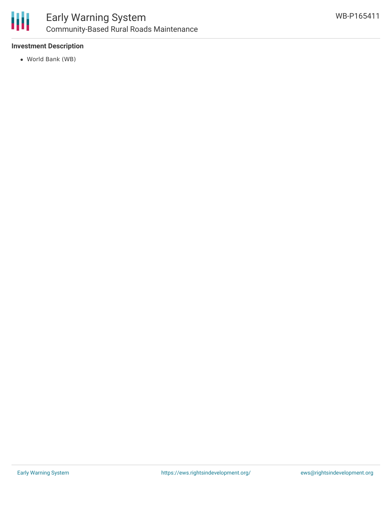

## **Investment Description**

World Bank (WB)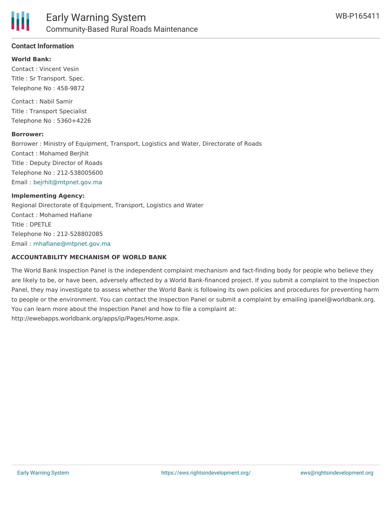#### **World Bank:**

Contact : Vincent Vesin Title : Sr Transport. Spec. Telephone No : 458-9872

Contact : Nabil Samir Title : Transport Specialist Telephone No : 5360+4226

#### **Borrower:**

Borrower : Ministry of Equipment, Transport, Logistics and Water, Directorate of Roads Contact : Mohamed Berjhit Title : Deputy Director of Roads Telephone No : 212-538005600 Email : [bejrhit@mtpnet.gov.ma](mailto:bejrhit@mtpnet.gov.ma)

#### **Implementing Agency:**

Regional Directorate of Equipment, Transport, Logistics and Water Contact : Mohamed Hafiane Title : DPETLE Telephone No : 212-528802085 Email : [mhafiane@mtpnet.gov.ma](mailto:mhafiane@mtpnet.gov.ma)

#### **ACCOUNTABILITY MECHANISM OF WORLD BANK**

The World Bank Inspection Panel is the independent complaint mechanism and fact-finding body for people who believe they are likely to be, or have been, adversely affected by a World Bank-financed project. If you submit a complaint to the Inspection Panel, they may investigate to assess whether the World Bank is following its own policies and procedures for preventing harm to people or the environment. You can contact the Inspection Panel or submit a complaint by emailing ipanel@worldbank.org. You can learn more about the Inspection Panel and how to file a complaint at: http://ewebapps.worldbank.org/apps/ip/Pages/Home.aspx.